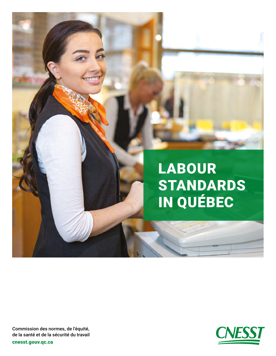



Commission des normes, de l'équité, de la santé et de la sécurité du travail

[cnesst.gouv.qc.ca](https://www.cnesst.gouv.qc.ca)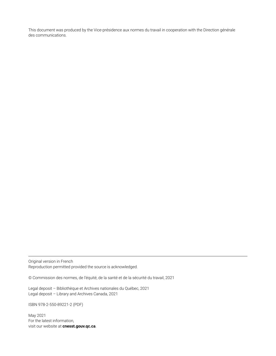This document was produced by the Vice-présidence aux normes du travail in cooperation with the Direction générale des communications.

Original version in French Reproduction permitted provided the source is acknowledged.

© Commission des normes, de l'équité, de la santé et de la sécurité du travail, 2021

Legal deposit – Bibliothèque et Archives nationales du Québec, 2021 Legal deposit – Library and Archives Canada, 2021

ISBN 978-2-550-89221-2 (PDF)

May 2021 For the latest information, visit our website at **[cnesst.gouv.qc.ca](https://www.cnesst.gouv.qc.ca)**.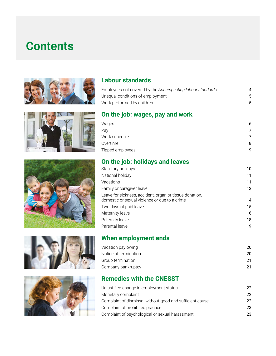# **Contents**











#### **Labour standards**

| Employees not covered by the Act respecting labour standards | 4 |
|--------------------------------------------------------------|---|
| Unequal conditions of employment                             | 5 |
| Work performed by children                                   | 5 |
| On the job: wages, pay and work                              |   |
| Wages                                                        | 6 |
| Pay                                                          | 7 |
| Work schedule                                                | 7 |
| Overtime                                                     | 8 |

### **On the job: holidays and leaves**

| Statutory holidays                                                                                       | 10 |
|----------------------------------------------------------------------------------------------------------|----|
| National holiday                                                                                         | 11 |
| Vacations                                                                                                | 11 |
| Family or caregiver leave                                                                                | 12 |
| Leave for sickness, accident, organ or tissue donation,<br>domestic or sexual violence or due to a crime | 14 |
| Two days of paid leave                                                                                   | 15 |
| Maternity leave                                                                                          | 16 |
| Paternity leave                                                                                          | 18 |
| Parental leave                                                                                           | 19 |

### **When employment ends**

### **Remedies with the CNESST**

| Unjustified change in employment status                  | 22 |
|----------------------------------------------------------|----|
| Monetary complaint                                       | 22 |
| Complaint of dismissal without good and sufficient cause | 22 |
| Complaint of prohibited practice                         | 23 |
| Complaint of psychological or sexual harassment          | 23 |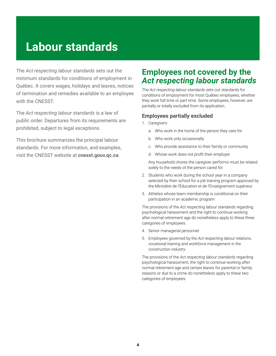## <span id="page-3-0"></span>**Labour standards**

The *Act respecting labour standards* sets out the minimum standards for conditions of employment in Québec. It covers wages, holidays and leaves, notices of termination and remedies available to an employee with the CNESST.

The *Act respecting labour standards* is a law of public order. Departures from its requirements are prohibited, subject to legal exceptions.

This brochure summarizes the principal labour standards. For more information, and examples, visit the CNESST website at **[cnesst.gouv.qc.ca](https://www.cnesst.gouv.qc.ca)**.

### **Employees not covered by the**  *Act respecting labour standards*

The *Act respecting labour standards* sets out standards for conditions of employment for most Québec employees, whether they work full time or part time. Some employees, however, are partially or totally excluded from its application.

#### **Employees partially excluded**

- 1. Caregivers
	- a. Who work in the home of the person they care for
	- b. Who work only occasionally
	- c. Who provide assistance to their family or community
	- d. Whose work does not profit their employer

Any household chores the caregiver performs must be related solely to the needs of the person cared for.

- 2. Students who work during the school year in a company selected by their school for a job training program approved by the Ministère de l'Éducation et de l'Enseignement supérieur
- 3. Athletes whose team membership is conditional on their participation in an academic program

The provisions of the *Act respecting labour standards* regarding psychological harassment and the right to continue working after normal retirement age do nonetheless apply to these three categories of employees.

- 4. Senior managerial personnel
- 5. Employees governed by the *Act respecting labour relations, vocational training and workforce management in the construction industry*

The provisions of the *Act respecting labour standards* regarding psychological harassment, the right to continue working after normal retirement age and certain leaves for parental or family reasons or due to a crime do nonetheless apply to these two categories of employees.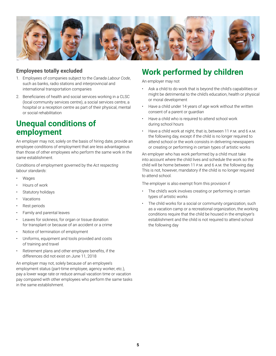<span id="page-4-0"></span>

#### **Employees totally excluded**

- 1. Employees of companies subject to the *Canada Labour Code*, such as banks, radio stations and interprovincial and international transportation companies
- 2. Beneficiaries of health and social services working in a CLSC (local community services centre), a social services centre, a hospital or a reception centre as part of their physical, mental or social rehabilitation

### **Unequal conditions of employment**

An employer may not, solely on the basis of hiring date, provide an employee conditions of employment that are less advantageous than those of other employees who perform the same work in the same establishment.

Conditions of employment governed by the *Act respecting labour standards*:

- **Wages**
- Hours of work
- Statutory holidays
- **Vacations**
- Rest periods
- Family and parental leaves
- Leaves for sickness, for organ or tissue donation for transplant or because of an accident or a crime
- Notice of termination of employment
- Uniforms, equipment and tools provided and costs of training and travel
- Retirement plans and other employee benefits, if the differences did not exist on June 11, 2018

An employer may not, solely because of an employee's employment status (part-time employee, agency worker, etc.), pay a lower wage rate or reduce annual vacation time or vacation pay compared with other employees who perform the same tasks in the same establishment.

### **Work performed by children**

An employer may not

- Ask a child to do work that is beyond the child's capabilities or might be detrimental to the child's education, health or physical or moral development
- Have a child under 14 years of age work without the written consent of a parent or guardian
- Have a child who is required to attend school work during school hours
- Have a child work at night, that is, between 11 P.M. and 6 A.M. the following day, except if the child is no longer required to attend school or the work consists in delivering newspapers or creating or performing in certain types of artistic works

An employer who has work performed by a child must take into account where the child lives and schedule the work so the child will be home between 11 p.m. and 6 a.m. the following day. This is not, however, mandatory if the child is no longer required to attend school.

The employer is also exempt from this provision if

- The child's work involves creating or performing in certain types of artistic works
- The child works for a social or community organization, such as a vacation camp or a recreational organization, the working conditions require that the child be housed in the employer's establishment and the child is not required to attend school the following day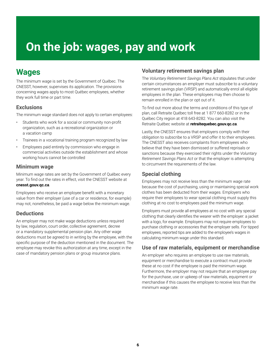# <span id="page-5-0"></span>**On the job: wages, pay and work**

### **Wages**

The minimum wage is set by the Government of Québec. The CNESST, however, supervises its application. The provisions concerning wages apply to most Québec employees, whether they work full time or part time.

#### **Exclusions**

The minimum wage standard does not apply to certain employees:

- Students who work for a social or community non-profit organization, such as a recreational organization or a vacation camp
- Trainees in a vocational training program recognized by law
- Employees paid entirely by commission who engage in commercial activities outside the establishment and whose working hours cannot be controlled

#### **Minimum wage**

Minimum wage rates are set by the Government of Québec every year. To find out the rates in effect, visit the CNESST website at **[cnesst.gouv.qc.ca](https://www.cnesst.gouv.qc.ca)**.

Employees who receive an employee benefit with a monetary value from their employer (use of a car or residence, for example) may not, nonetheless, be paid a wage below the minimum wage.

#### **Deductions**

An employer may not make wage deductions unless required by law, regulation, court order, collective agreement, decree or a mandatory supplemental pension plan. Any other wage deductions must be agreed to in writing by the employee, with the specific purpose of the deduction mentioned in the document. The employee may revoke this authorization at any time, except in the case of mandatory pension plans or group insurance plans.

#### **Voluntary retirement savings plan**

The *Voluntary Retirement Savings Plans Act* stipulates that under certain circumstances an employer must subscribe to a voluntary retirement savings plan (VRSP) and automatically enrol all eligible employees in the plan. These employees may then choose to remain enrolled in the plan or opt out of it.

To find out more about the terms and conditions of this type of plan, call Retraite Québec toll free at 1 877 660-8282 or in the Québec City region at 418 643-8282. You can also visit the Retraite Québec website at **[retraitequebec.gouv.qc.ca](https://www.retraitequebec.gouv.qc.ca)**.

Lastly, the CNESST ensures that employers comply with their obligation to subscribe to a VRSP and offer it to their employees. The CNESST also receives complaints from employees who believe that they have been dismissed or suffered reprisals or sanctions because they exercised their rights under the *Voluntary Retirement Savings Plans Act* or that the employer is attempting to circumvent the requirements of the law.

#### **Special clothing**

Employees may not receive less than the minimum wage rate because the cost of purchasing, using or maintaining special work clothes has been deducted from their wages. Employers who require their employees to wear special clothing must supply this clothing at no cost to employees paid the minimum wage.

Employers must provide all employees at no cost with any special clothing that clearly identifies the wearer with the employer: a jacket with a logo, for example. Employers may not require employees to purchase clothing or accessories that the employer sells. For tipped employees, reported tips are added to the employee's wages in calculating minimum wage under this standard.

#### **Use of raw materials, equipment or merchandise**

An employer who requires an employee to use raw materials, equipment or merchandise to execute a contract must provide these at no cost if the employee is paid the minimum wage. Furthermore, the employer may not require that an employee pay for the purchase, use or upkeep of raw materials, equipment or merchandise if this causes the employee to receive less than the minimum wage rate.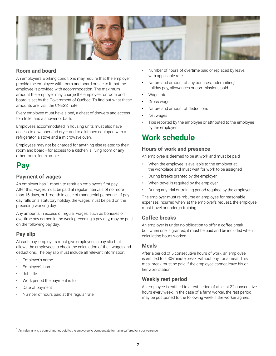<span id="page-6-0"></span>

#### **Room and board**

An employee's working conditions may require that the employer provide the employee with room and board or see to it that the employee is provided with accommodation. The maximum amount the employer may charge the employee for room and board is set by the Government of Québec. To find out what these amounts are, visit the CNESST site.

Every employee must have a bed, a chest of drawers and access to a toilet and a shower or bath.

Employees accommodated in housing units must also have access to a washer and dryer and to a kitchen equipped with a refrigerator, a stove and a microwave oven.

Employees may not be charged for anything else related to their room and board—for access to a kitchen, a living room or any other room, for example.

### **Pay**

#### **Payment of wages**

An employer has 1 month to remit an employee's first pay. After this, wages must be paid at regular intervals of no more than 16 days, or 1 month in case of managerial personnel. If pay day falls on a statutory holiday, the wages must be paid on the preceding working day.

Any amounts in excess of regular wages, such as bonuses or overtime pay earned in the week preceding a pay day, may be paid on the following pay day.

#### **Pay slip**

At each pay, employers must give employees a pay slip that allows the employees to check the calculation of their wages and deductions. The pay slip must include all relevant information:

- Employer's name
- Employee's name
- Job title
- Work period the payment is for
- Date of payment
- Number of hours paid at the regular rate
- Number of hours of overtime paid or replaced by leave, with applicable rate
- Nature and amount of any bonuses, indemnities,<sup>1</sup> holiday pay, allowances or commissions paid
- Wage rate
- Gross wages
- Nature and amount of deductions
- Net wages
- Tips reported by the employee or attributed to the employee by the employer

### **Work schedule**

#### **Hours of work and presence**

An employee is deemed to be at work and must be paid

- When the employee is available to the employer at the workplace and must wait for work to be assigned
- During breaks granted by the employer
- When travel is required by the employer
- During any trial or training period required by the employer

The employer must reimburse an employee for reasonable expenses incurred when, at the employer's request, the employee must travel or undergo training.

#### **Coffee breaks**

An employer is under no obligation to offer a coffee break but, when one is granted, it must be paid and be included when calculating hours worked.

#### **Meals**

After a period of 5 consecutive hours of work, an employee is entitled to a 30-minute break, without pay, for a meal. This meal break must be paid if the employee cannot leave his or her work station.

#### **Weekly rest period**

An employee is entitled to a rest period of at least 32 consecutive hours every week. In the case of a farm worker, the rest period may be postponed to the following week if the worker agrees.

 $^1$  An indemnity is a sum of money paid to the employee to compensate for harm suffered or inconvenience.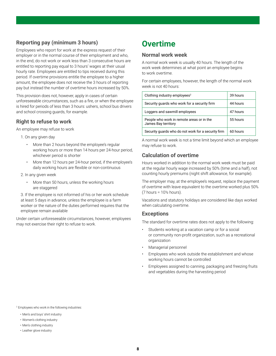#### <span id="page-7-0"></span>**Reporting pay (minimum 3 hours)**

Employees who report for work at the express request of their employer or in the normal course of their employment and who, in the end, do not work or work less than 3 consecutive hours are entitled to reporting pay equal to 3 hours' wages at their usual hourly rate. Employees are entitled to tips received during this period. If overtime provisions entitle the employee to a higher amount, the employee does not receive the 3 hours of reporting pay but instead the number of overtime hours increased by 50%.

This provision does not, however, apply in cases of certain unforeseeable circumstances, such as a fire, or when the employee is hired for periods of less than 3 hours: ushers, school bus drivers and school crossing guards, for example.

#### **Right to refuse to work**

An employee may refuse to work

- 1. On any given day
	- More than 2 hours beyond the employee's regular working hours or more than 14 hours per 24-hour period, whichever period is shorter
	- More than 12 hours per 24-hour period, if the employee's daily working hours are flexible or non-continuous
- 2. In any given week
	- More than 50 hours, unless the working hours are staggered

 3. If the employee is not informed of his or her work schedule at least 5 days in advance, unless the employee is a farm worker or the nature of the duties performed requires that the employee remain available

Under certain unforeseeable circumstances, however, employees may not exercise their right to refuse to work.

### **Overtime**

#### **Normal work week**

A normal work week is usually 40 hours. The length of the work week determines at what point an employee begins to work overtime.

For certain employees, however, the length of the normal work week is not 40 hours:

| Clothing industry employees <sup>2</sup>                         | 39 hours |
|------------------------------------------------------------------|----------|
| Security guards who work for a security firm                     | 44 hours |
| Loggers and sawmill employees                                    | 47 hours |
| People who work in remote areas or in the<br>James Bay territory | 55 hours |
| Security quards who do not work for a security firm              | 60 hours |

A normal work week is not a time limit beyond which an employee may refuse to work.

#### **Calculation of overtime**

Hours worked in addition to the normal work week must be paid at the regular hourly wage increased by 50% (time and a half), not counting hourly premiums (night shift allowance, for example).

The employer may, at the employee's request, replace the payment of overtime with leave equivalent to the overtime worked plus 50% (7 hours =  $10\frac{1}{2}$  hours).

Vacations and statutory holidays are considered like days worked when calculating overtime.

#### **Exceptions**

The standard for overtime rates does not apply to the following:

- Students working at a vacation camp or for a social or community non-profit organization, such as a recreational organization
- Managerial personnel
- Employees who work outside the establishment and whose working hours cannot be controlled
- Employees assigned to canning, packaging and freezing fruits and vegetables during the harvesting period

2 Employees who work in the following industries:

- Men's and boys' shirt industry
- Women's clothing industry
- Men's clothing industry
- Leather glove industry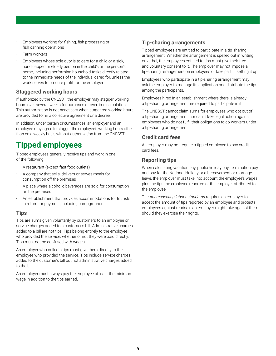- <span id="page-8-0"></span>• Employees working for fishing, fish processing or fish canning operations
- Farm workers
- Employees whose sole duty is to care for a child or a sick, handicapped or elderly person in the child's or the person's home, including performing household tasks directly related to the immediate needs of the individual cared for, unless the work serves to procure profit for the employer

#### **Staggered working hours**

If authorized by the CNESST, the employer may stagger working hours over several weeks for purposes of overtime calculation. This authorization is not necessary when staggered working hours are provided for in a collective agreement or a decree.

In addition, under certain circumstances, an employer and an employee may agree to stagger the employee's working hours other than on a weekly basis without authorization from the CNESST.

### **Tipped employees**

Tipped employees generally receive tips and work in one of the following:

- A restaurant (except fast food outlets)
- A company that sells, delivers or serves meals for consumption off the premises
- A place where alcoholic beverages are sold for consumption on the premises
- An establishment that provides accommodations for tourists in return for payment, including campgrounds

#### **Tips**

Tips are sums given voluntarily by customers to an employee or service charges added to a customer's bill. Administrative charges added to a bill are not tips. Tips belong entirely to the employee who provided the service, whether or not they were paid directly. Tips must not be confused with wages.

An employer who collects tips must give them directly to the employee who provided the service. Tips include service charges added to the customer's bill but not administrative charges added to the bill.

An employer must always pay the employee at least the minimum wage in addition to the tips earned.

#### **Tip-sharing arrangements**

Tipped employees are entitled to participate in a tip-sharing arrangement. Whether the arrangement is spelled out in writing or verbal, the employees entitled to tips must give their free and voluntary consent to it. The employer may not impose a tip-sharing arrangement on employees or take part in setting it up.

Employees who participate in a tip-sharing arrangement may ask the employer to manage its application and distribute the tips among the participants.

Employees hired in an establishment where there is already a tip-sharing arrangement are required to participate in it.

The CNESST cannot claim sums for employees who opt out of a tip-sharing arrangement, nor can it take legal action against employees who do not fulfil their obligations to co-workers under a tip-sharing arrangement.

#### **Credit card fees**

An employer may not require a tipped employee to pay credit card fees.

#### **Reporting tips**

When calculating vacation pay, public holiday pay, termination pay and pay for the National Holiday or a bereavement or marriage leave, the employer must take into account the employee's wages plus the tips the employee reported or the employer attributed to the employee.

The *Act respecting labour standards* requires an employer to accept the amount of tips reported by an employee and protects employees against reprisals an employer might take against them should they exercise their rights.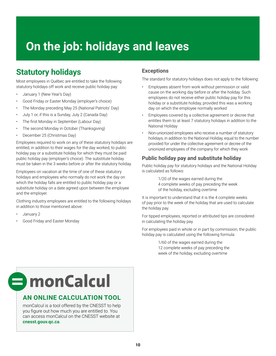# <span id="page-9-0"></span>**On the job: holidays and leaves**

### **Statutory holidays**

Most employees in Québec are entitled to take the following statutory holidays off work and receive public holiday pay:

- January 1 (New Year's Day)
- Good Friday or Easter Monday (employer's choice)
- The Monday preceding May 25 (National Patriots' Day)
- July 1 or, if this is a Sunday, July 2 (Canada Day)
- The first Monday in September (Labour Day)
- The second Monday in October (Thanksgiving)
- December 25 (Christmas Day)

Employees required to work on any of these statutory holidays are entitled, in addition to their wages for the day worked, to public holiday pay or a substitute holiday for which they must be paid public holiday pay (employer's choice). The substitute holiday must be taken in the 3 weeks before or after the statutory holiday.

Employees on vacation at the time of one of these statutory holidays and employees who normally do not work the day on which the holiday falls are entitled to public holiday pay or a substitute holiday on a date agreed upon between the employee and the employer.

Clothing industry employees are entitled to the following holidays in addition to those mentioned above:

- January 2
- Good Friday and Easter Monday

#### **Exceptions**

The standard for statutory holidays does not apply to the following:

- Employees absent from work without permission or valid cause on the working day before or after the holiday. Such employees do not receive either public holiday pay for this holiday or a substitute holiday, provided this was a working day on which the employee normally worked
- Employees covered by a collective agreement or decree that entitles them to at least 7 statutory holidays in addition to the National Holiday
- Non-unionized employees who receive a number of statutory holidays, in addition to the National Holiday, equal to the number provided for under the collective agreement or decree of the unionized employees of the company for which they work

#### **Public holiday pay and substitute holiday**

Public holiday pay for statutory holidays and the National Holiday is calculated as follows:

> 1/20 of the wages earned during the 4 complete weeks of pay preceding the week of the holiday, excluding overtime

It is important to understand that it is the 4 complete weeks of pay prior to the week of the holiday that are used to calculate the holiday pay.

For tipped employees, reported or attributed tips are considered in calculating the holiday pay.

For employees paid in whole or in part by commission, the public holiday pay is calculated using the following formula:

> 1/60 of the wages earned during the 12 complete weeks of pay preceding the week of the holiday, excluding overtime

# $\blacksquare$  monCalcul

#### **AN ONLINE CALCULATION TOOL**

monCalcul is a tool offered by the CNESST to help you figure out how much you are entitled to. You can access monCalcul on the CNESST website at **[cnesst.gouv.qc.ca](https://www.cnesst.gouv.qc.ca)**.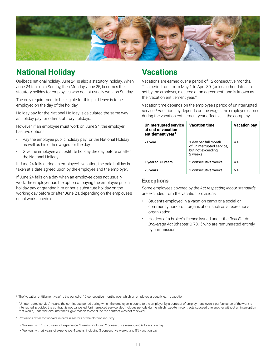<span id="page-10-0"></span>

### **National Holiday**

Québec's national holiday, June 24, is also a statutory holiday. When June 24 falls on a Sunday, then Monday, June 25, becomes the statutory holiday for employees who do not usually work on Sunday.

The only requirement to be eligible for this paid leave is to be employed on the day of the holiday.

Holiday pay for the National Holiday is calculated the same way as holiday pay for other statutory holidays.

However, if an employee must work on June 24, the employer has two options:

- Pay the employee public holiday pay for the National Holiday as well as his or her wages for the day
- Give the employee a substitute holiday the day before or after the National Holiday

If June 24 falls during an employee's vacation, the paid holiday is taken at a date agreed upon by the employee and the employer.

If June 24 falls on a day when an employee does not usually work, the employer has the option of paying the employee public holiday pay or granting him or her a substitute holiday on the working day before or after June 24, depending on the employee's usual work schedule.

### **Vacations**

Vacations are earned over a period of 12 consecutive months. This period runs from May 1 to April 30, (unless other dates are set by the employer, a decree or an agreement) and is known as the "vacation entitlement year."3

Vacation time depends on the employee's period of uninterrupted service.<sup>4</sup> Vacation pay depends on the wages the employee earned during the vacation entitlement year effective in the company.

| <b>Uninterrupted service</b><br>at end of vacation<br>entitlement year <sup>5</sup> | <b>Vacation time</b>                                                              | <b>Vacation pay</b> |
|-------------------------------------------------------------------------------------|-----------------------------------------------------------------------------------|---------------------|
| <1 year                                                                             | 1 day per full month<br>of uninterrupted service,<br>but not exceeding<br>2 weeks | 4%                  |
| 1 year to <3 years                                                                  | 2 consecutive weeks                                                               | 4%                  |
| $\geq$ 3 years                                                                      | 3 consecutive weeks                                                               | 6%                  |

#### **Exceptions**

Some employees covered by the *Act respecting labour standards* are excluded from the vacation provisions:

- Students employed in a vacation camp or a social or community non-profit organization, such as a recreational organization
- Holders of a broker's licence issued under the *Real Estate Brokerage Act* (chapter C-73.1) who are remunerated entirely by commission

3 The "vacation entitlement year" is the period of 12 consecutive months over which an employee gradually earns vacation.

4 "Uninterrupted service" means the continuous period during which the employee is bound to the employer by a contract of employment, even if performance of the work is interrupted, provided the contract is not cancelled. Uninterrupted service also includes periods during which fixed-term contracts succeed one another without an interruption that would, under the circumstances, give reason to conclude the contract was not renewed.

<sup>5</sup> Provisions differ for workers in certain sectors of the clothing industry:

- Workers with 1 to <3 years of experience: 3 weeks, including 2 consecutive weeks, and 6% vacation pay
- Workers with ≥3 years of experience: 4 weeks, including 3 consecutive weeks, and 8% vacation pay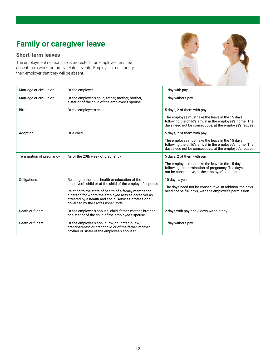### <span id="page-11-0"></span>**Family or caregiver leave**

#### **Short-term leaves**

The employment relationship is protected if an employee must be absent from work for family-related events. Employees must notify their employer that they will be absent.



| Marriage or civil union  | Of the employee                                                                                                                                                                                                                                                                                                             | 1 day with pay                                                                                                                                                                                        |
|--------------------------|-----------------------------------------------------------------------------------------------------------------------------------------------------------------------------------------------------------------------------------------------------------------------------------------------------------------------------|-------------------------------------------------------------------------------------------------------------------------------------------------------------------------------------------------------|
| Marriage or civil union  | Of the employee's child, father, mother, brother,<br>sister or of the child of the employee's spouse                                                                                                                                                                                                                        | 1 day without pay                                                                                                                                                                                     |
| <b>Birth</b>             | Of the employee's child                                                                                                                                                                                                                                                                                                     | 5 days, 2 of them with pay<br>The employee must take the leave in the 15 days<br>following the child's arrival in the employee's home. The<br>days need not be consecutive, at the employee's request |
| Adoption                 | Of a child                                                                                                                                                                                                                                                                                                                  | 5 days, 2 of them with pay<br>The employee must take the leave in the 15 days<br>following the child's arrival in the employee's home. The<br>days need not be consecutive, at the employee's request |
| Termination of pregnancy | As of the 20th week of pregnancy                                                                                                                                                                                                                                                                                            | 5 days, 2 of them with pay<br>The employee must take the leave in the 15 days<br>following the termination of pregnancy. The days need<br>not be consecutive, at the employee's request               |
| Obligations              | Relating to the care, health or education of the<br>employee's child or of the child of the employee's spouse<br>Relating to the state of health of a family member or<br>a person for whom the employee acts as caregiver as<br>attested by a health and social services professional<br>governed by the Professional Code | 10 days a year<br>The days need not be consecutive. In addition, the days<br>need not be full days, with the employer's permission                                                                    |
| Death or funeral         | Of the employee's spouse, child, father, mother, brother<br>or sister or of the child of the employee's spouse                                                                                                                                                                                                              | 2 days with pay and 3 days without pay                                                                                                                                                                |
| Death or funeral         | Of the employee's son-in-law, daughter-in-law,<br>grandparents* or grandchild or of the father, mother,<br>brother or sister of the employee's spouse*                                                                                                                                                                      | 1 day without pay                                                                                                                                                                                     |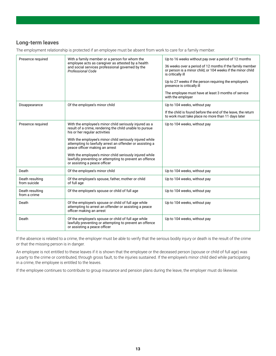#### **Long-term leaves**

The employment relationship is protected if an employee must be absent from work to care for a family member.

| Presence required<br>With a family member or a person for whom the | Up to 16 weeks without pay over a period of 12 months                                                                                                 |                                                                                                                                              |
|--------------------------------------------------------------------|-------------------------------------------------------------------------------------------------------------------------------------------------------|----------------------------------------------------------------------------------------------------------------------------------------------|
|                                                                    | employee acts as caregiver as attested by a health<br>and social services professional governed by the<br>Professional Code                           | 36 weeks over a period of 12 months if the family member<br>or person is a minor child, or 104 weeks if the minor child<br>is critically ill |
|                                                                    |                                                                                                                                                       | Up to 27 weeks if the person requiring the employee's<br>presence is critically ill                                                          |
|                                                                    |                                                                                                                                                       | The employee must have at least 3 months of service<br>with the employer                                                                     |
| Disappearance                                                      | Of the employee's minor child                                                                                                                         | Up to 104 weeks, without pay                                                                                                                 |
|                                                                    |                                                                                                                                                       | If the child is found before the end of the leave, the return<br>to work must take place no more than 11 days later                          |
| Presence required                                                  | With the employee's minor child seriously injured as a<br>result of a crime, rendering the child unable to pursue<br>his or her regular activities    | Up to 104 weeks, without pay                                                                                                                 |
|                                                                    | With the employee's minor child seriously injured while<br>attempting to lawfully arrest an offender or assisting a<br>peace officer making an arrest |                                                                                                                                              |
|                                                                    | With the employee's minor child seriously injured while<br>lawfully preventing or attempting to prevent an offence<br>or assisting a peace officer    |                                                                                                                                              |
| Death                                                              | Of the employee's minor child                                                                                                                         | Up to 104 weeks, without pay                                                                                                                 |
| Death resulting<br>from suicide                                    | Of the employee's spouse, father, mother or child<br>of full age                                                                                      | Up to 104 weeks, without pay                                                                                                                 |
| Death resulting<br>from a crime                                    | Of the employee's spouse or child of full age                                                                                                         | Up to 104 weeks, without pay                                                                                                                 |
| Death                                                              | Of the employee's spouse or child of full age while<br>attempting to arrest an offender or assisting a peace<br>officer making an arrest              | Up to 104 weeks, without pay                                                                                                                 |
| Death                                                              | Of the employee's spouse or child of full age while<br>lawfully preventing or attempting to prevent an offence<br>or assisting a peace officer        | Up to 104 weeks, without pay                                                                                                                 |

If the absence is related to a crime, the employer must be able to verify that the serious bodily injury or death is the result of the crime or that the missing person is in danger.

An employee is not entitled to these leaves if it is shown that the employee or the deceased person (spouse or child of full age) was a party to the crime or contributed, through gross fault, to the injuries sustained. If the employee's minor child died while participating in a crime, the employee is entitled to the leaves.

If the employee continues to contribute to group insurance and pension plans during the leave, the employer must do likewise.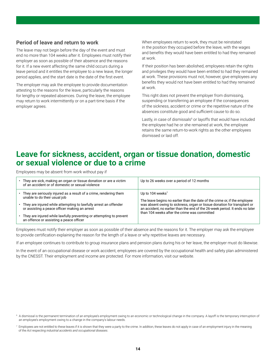#### <span id="page-13-0"></span>**Period of leave and return to work**

The leave may not begin before the day of the event and must end no more than 104 weeks after it. Employees must notify their employer as soon as possible of their absence and the reasons for it. If a new event affecting the same child occurs during a leave period and it entitles the employee to a new leave, the longer period applies, and the start date is the date of the first event.

The employer may ask the employee to provide documentation attesting to the reasons for the leave, particularly the reasons for lengthy or repeated absences. During the leave, the employee may return to work intermittently or on a part-time basis if the employer agrees.

When employees return to work, they must be reinstated in the position they occupied before the leave, with the wages and benefits they would have been entitled to had they remained at work.

If their position has been abolished, employees retain the rights and privileges they would have been entitled to had they remained at work. These provisions must not, however, give employees any benefits they would not have been entitled to had they remained at work.

This right does not prevent the employer from dismissing, suspending or transferring an employee if the consequences of the sickness, accident or crime or the repetitive nature of the absences constitute good and sufficient cause to do so.

Lastly, in case of dismissals<sup>6</sup> or layoffs that would have included the employee had he or she remained at work, the employee retains the same return-to-work rights as the other employees dismissed or laid off.

### **Leave for sickness, accident, organ or tissue donation, domestic or sexual violence or due to a crime**

Employees may be absent from work without pay if

| • They are sick, making an organ or tissue donation or are a victim<br>of an accident or of domestic or sexual violence | Up to 26 weeks over a period of 12 months                                                                                                                                                                |
|-------------------------------------------------------------------------------------------------------------------------|----------------------------------------------------------------------------------------------------------------------------------------------------------------------------------------------------------|
| • They are seriously injured as a result of a crime, rendering them<br>unable to do their usual job                     | Up to 104 weeks <sup>7</sup><br>The leave begins no earlier than the date of the crime or, if the employee                                                                                               |
| • They are injured while attempting to lawfully arrest an offender<br>or assisting a peace officer making an arrest     | was absent owing to sickness, organ or tissue donation for transplant or<br>an accident, no earlier than the end of the 26-week period. It ends no later<br>than 104 weeks after the crime was committed |
| • They are injured while lawfully preventing or attempting to prevent<br>an offence or assisting a peace officer        |                                                                                                                                                                                                          |

Employees must notify their employer as soon as possible of their absence and the reasons for it. The employer may ask the employee to provide certification explaining the reason for the length of a leave or why repetitive leaves are necessary.

If an employee continues to contribute to group insurance plans and pension plans during his or her leave, the employer must do likewise.

In the event of an occupational disease or work accident, employees are covered by the occupational health and safety plan administered by the CNESST. Their employment and income are protected. For more information, visit our website.

<sup>&</sup>lt;sup>6</sup> A dismissal is the permanent termination of an employee's employment owing to an economic or technological change in the company. A layoff is the temporary interruption of an employee's employment owing to a change in the company's labour needs.

 $^7$  Employees are not entitled to these leaves if it is shown that they were a party to the crime. In addition, these leaves do not apply in case of an employment injury in the meaning of the *Act respecting industrial accidents and occupational diseases*.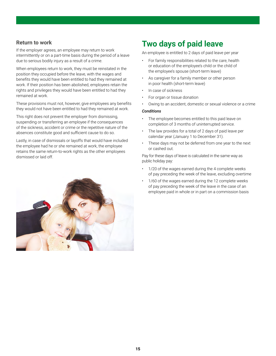#### <span id="page-14-0"></span>**Return to work**

If the employer agrees, an employee may return to work intermittently or on a part-time basis during the period of a leave due to serious bodily injury as a result of a crime.

When employees return to work, they must be reinstated in the position they occupied before the leave, with the wages and benefits they would have been entitled to had they remained at work. If their position has been abolished, employees retain the rights and privileges they would have been entitled to had they remained at work.

These provisions must not, however, give employees any benefits they would not have been entitled to had they remained at work.

This right does not prevent the employer from dismissing, suspending or transferring an employee if the consequences of the sickness, accident or crime or the repetitive nature of the absences constitute good and sufficient cause to do so.

Lastly, in case of dismissals or layoffs that would have included the employee had he or she remained at work, the employee retains the same return-to-work rights as the other employees dismissed or laid off.



### **Two days of paid leave**

An employee is entitled to 2 days of paid leave per year

- For family responsibilities related to the care, health or education of the employee's child or the child of the employee's spouse (short-term leave)
- As caregiver for a family member or other person in poor health (short-term leave)
- In case of sickness
- For organ or tissue donation
- Owing to an accident, domestic or sexual violence or a crime

#### *Conditions*

- The employee becomes entitled to this paid leave on completion of 3 months of uninterrupted service.
- The law provides for a total of 2 days of paid leave per calendar year (January 1 to December 31).
- These days may not be deferred from one year to the next or cashed out.

Pay for these days of leave is calculated in the same way as public holiday pay:

- 1/20 of the wages earned during the 4 complete weeks of pay preceding the week of the leave, excluding overtime
- 1/60 of the wages earned during the 12 complete weeks of pay preceding the week of the leave in the case of an employee paid in whole or in part on a commission basis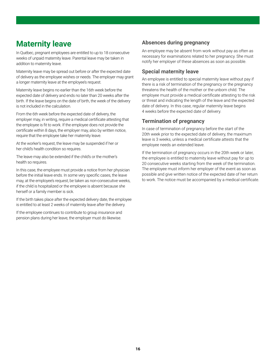### <span id="page-15-0"></span>**Maternity leave**

In Québec, pregnant employees are entitled to up to 18 consecutive weeks of unpaid maternity leave. Parental leave may be taken in addition to maternity leave.

Maternity leave may be spread out before or after the expected date of delivery as the employee wishes or needs. The employer may grant a longer maternity leave at the employee's request.

Maternity leave begins no earlier than the 16th week before the expected date of delivery and ends no later than 20 weeks after the birth. If the leave begins on the date of birth, the week of the delivery is not included in the calculation.

From the 6th week before the expected date of delivery, the employer may, in writing, require a medical certificate attesting that the employee is fit to work. If the employee does not provide the certificate within 8 days, the employer may, also by written notice, require that the employee take her maternity leave.

At the worker's request, the leave may be suspended if her or her child's health condition so requires.

The leave may also be extended if the child's or the mother's health so requires.

In this case, the employee must provide a notice from her physician before the initial leave ends. In some very specific cases, the leave may, at the employee's request, be taken as non-consecutive weeks, if the child is hospitalized or the employee is absent because she herself or a family member is sick.

If the birth takes place after the expected delivery date, the employee is entitled to at least 2 weeks of maternity leave after the delivery.

If the employee continues to contribute to group insurance and pension plans during her leave, the employer must do likewise.

#### **Absences during pregnancy**

An employee may be absent from work without pay as often as necessary for examinations related to her pregnancy. She must notify her employer of these absences as soon as possible.

#### **Special maternity leave**

An employee is entitled to special maternity leave without pay if there is a risk of termination of the pregnancy or the pregnancy threatens the health of the mother or the unborn child. The employee must provide a medical certificate attesting to the risk or threat and indicating the length of the leave and the expected date of delivery. In this case, regular maternity leave begins 4 weeks before the expected date of delivery.

#### **Termination of pregnancy**

In case of termination of pregnancy before the start of the 20th week prior to the expected date of delivery, the maximum leave is 3 weeks, unless a medical certificate attests that the employee needs an extended leave.

If the termination of pregnancy occurs in the 20th week or later, the employee is entitled to maternity leave without pay for up to 20 consecutive weeks starting from the week of the termination. The employee must inform her employer of the event as soon as possible and give written notice of the expected date of her return to work. The notice must be accompanied by a medical certificate.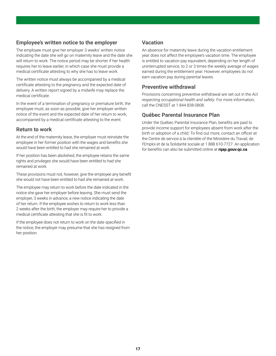#### **Employee's written notice to the employer**

The employee must give her employer 3 weeks' written notice indicating the date she will go on maternity leave and the date she will return to work. The notice period may be shorter if her health requires her to leave earlier, in which case she must provide a medical certificate attesting to why she has to leave work.

The written notice must always be accompanied by a medical certificate attesting to the pregnancy and the expected date of delivery. A written report signed by a midwife may replace the medical certificate.

In the event of a termination of pregnancy or premature birth, the employee must, as soon as possible, give her employer written notice of the event and the expected date of her return to work, accompanied by a medical certificate attesting to the event.

#### **Return to work**

At the end of the maternity leave, the employer must reinstate the employee in her former position with the wages and benefits she would have been entitled to had she remained at work.

If her position has been abolished, the employee retains the same rights and privileges she would have been entitled to had she remained at work.

These provisions must not, however, give the employee any benefit she would not have been entitled to had she remained at work.

The employee may return to work before the date indicated in the notice she gave her employer before leaving. She must send the employer, 3 weeks in advance, a new notice indicating the date of her return. If the employee wishes to return to work less than 2 weeks after the birth, the employer may require her to provide a medical certificate attesting that she is fit to work.

If the employee does not return to work on the date specified in the notice, the employer may presume that she has resigned from her position.

#### **Vacation**

An absence for maternity leave during the vacation entitlement year does not affect the employee's vacation time. The employee is entitled to vacation pay equivalent, depending on her length of uninterrupted service, to 2 or 3 times the weekly average of wages earned during the entitlement year. However, employees do not earn vacation pay during parental leaves.

#### **Preventive withdrawal**

Provisions concerning preventive withdrawal are set out in the *Act respecting occupational health and safety*. For more information, call the CNESST at 1 844 838-0808.

#### **Québec Parental Insurance Plan**

Under the Québec Parental Insurance Plan, benefits are paid to provide income support for employees absent from work after the birth or adoption of a child. To find out more, contact an officer at the Centre de service à la clientèle of the Ministère du Travail, de l'Emploi et de la Solidarité sociale at 1 888 610-7727. An application for benefits can also be submitted online at **[rqap.gouv.qc.ca](https://www.rqap.gouv.qc.ca/)**.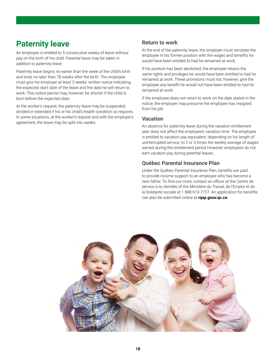### <span id="page-17-0"></span>**Paternity leave**

An employee is entitled to 5 consecutive weeks of leave without pay on the birth of his child. Parental leave may be taken in addition to paternity leave.

Paternity leave begins no earlier than the week of the child's birth and ends no later than 78 weeks after the birth. The employee must give his employer at least 3 weeks' written notice indicating the expected start date of the leave and the date he will return to work. This notice period may, however, be shorter if the child is born before the expected date.

At the worker's request, the paternity leave may be suspended, divided or extended if his or his child's health condition so requires. In some situations, at the worker's request and with the employer's agreement, the leave may be split into weeks.

#### **Return to work**

At the end of the paternity leave, the employer must reinstate the employee in his former position with the wages and benefits he would have been entitled to had he remained at work.

If his position has been abolished, the employee retains the same rights and privileges he would have been entitled to had he remained at work. These provisions must not, however, give the employee any benefit he would not have been entitled to had he remained at work.

If the employee does not return to work on the date stated in the notice, the employer may presume the employee has resigned from his job.

#### **Vacation**

An absence for paternity leave during the vacation entitlement year does not affect the employee's vacation time. The employee is entitled to vacation pay equivalent, depending on his length of uninterrupted service, to 2 or 3 times the weekly average of wages earned during the entitlement period However, employees do not earn vacation pay during parental leaves.

#### **Québec Parental Insurance Plan**

Under the Québec Parental Insurance Plan, benefits are paid to provide income support to an employee who has become a new father. To find out more, contact an officer at the Centre de service à la clientèle of the Ministère du Travail, de l'Emploi et de la Solidarité sociale at 1 888 610-7727. An application for benefits can also be submitted online at **[rqap.gouv.qc.ca](https://www.rqap.gouv.qc.ca/)**.

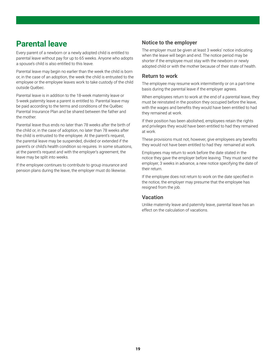### <span id="page-18-0"></span>**Parental leave**

Every parent of a newborn or a newly adopted child is entitled to parental leave without pay for up to 65 weeks. Anyone who adopts a spouse's child is also entitled to this leave.

Parental leave may begin no earlier than the week the child is born or, in the case of an adoption, the week the child is entrusted to the employee or the employee leaves work to take custody of the child outside Québec.

Parental leave is in addition to the 18-week maternity leave or 5-week paternity leave a parent is entitled to. Parental leave may be paid according to the terms and conditions of the Québec Parental Insurance Plan and be shared between the father and the mother.

Parental leave thus ends no later than 78 weeks after the birth of the child or, in the case of adoption, no later than 78 weeks after the child is entrusted to the employee. At the parent's request, the parental leave may be suspended, divided or extended if the parent's or child's health condition so requires. In some situations, at the parent's request and with the employer's agreement, the leave may be split into weeks.

If the employee continues to contribute to group insurance and pension plans during the leave, the employer must do likewise.

#### **Notice to the employer**

The employer must be given at least 3 weeks' notice indicating when the leave will begin and end. The notice period may be shorter if the employee must stay with the newborn or newly adopted child or with the mother because of their state of health.

#### **Return to work**

The employee may resume work intermittently or on a part-time basis during the parental leave if the employer agrees.

When employees return to work at the end of a parental leave, they must be reinstated in the position they occupied before the leave, with the wages and benefits they would have been entitled to had they remained at work.

If their position has been abolished, employees retain the rights and privileges they would have been entitled to had they remained at work.

These provisions must not, however, give employees any benefits they would not have been entitled to had they remained at work.

Employees may return to work before the date stated in the notice they gave the employer before leaving. They must send the employer, 3 weeks in advance, a new notice specifying the date of their return.

If the employee does not return to work on the date specified in the notice, the employer may presume that the employee has resigned from the job.

#### **Vacation**

Unlike maternity leave and paternity leave, parental leave has an effect on the calculation of vacations.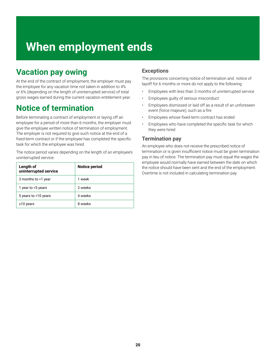# <span id="page-19-0"></span>**When employment ends**

### **Vacation pay owing**

At the end of the contract of employment, the employer must pay the employee for any vacation time not taken in addition to 4% or 6% (depending on the length of uninterrupted service) of total gross wages earned during the current vacation entitlement year.

### **Notice of termination**

Before terminating a contract of employment or laying off an employee for a period of more than 6 months, the employer must give the employee written notice of termination of employment. The employer is not required to give such notice at the end of a fixed-term contract or if the employee has completed the specific task for which the employee was hired.

The notice period varies depending on the length of an employee's uninterrupted service.

| Length of<br>uninterrupted service | Notice period |
|------------------------------------|---------------|
| 3 months to <1 year                | 1 week        |
| 1 year to <5 years                 | 2 weeks       |
| 5 years to <10 years               | 4 weeks       |
| $\geq$ 10 years                    | 8 weeks       |

#### **Exceptions**

The provisions concerning notice of termination and notice of layoff for 6 months or more do not apply to the following:

- Employees with less than 3 months of uninterrupted service
- Employees guilty of serious misconduct
- Employees dismissed or laid off as a result of an unforeseen event (force majeure), such as a fire
- Employees whose fixed-term contract has ended
- Employees who have completed the specific task for which they were hired

#### **Termination pay**

An employee who does not receive the prescribed notice of termination or is given insufficient notice must be given termination pay in lieu of notice. The termination pay must equal the wages the employee would normally have earned between the date on which the notice should have been sent and the end of the employment. Overtime is not included in calculating termination pay.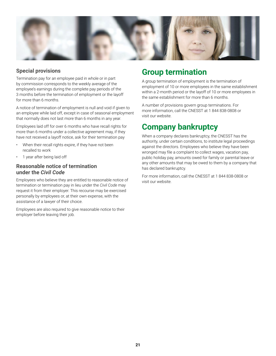<span id="page-20-0"></span>

#### **Special provisions**

Termination pay for an employee paid in whole or in part by commission corresponds to the weekly average of the employee's earnings during the complete pay periods of the 3 months before the termination of employment or the layoff for more than 6 months.

A notice of termination of employment is null and void if given to an employee while laid off, except in case of seasonal employment that normally does not last more than 6 months in any year.

Employees laid off for over 6 months who have recall rights for more than 6 months under a collective agreement may, if they have not received a layoff notice, ask for their termination pay

- When their recall rights expire, if they have not been recalled to work
- 1 year after being laid off

#### **Reasonable notice of termination under the** *Civil Code*

Employees who believe they are entitled to reasonable notice of termination or termination pay in lieu under the *Civil Code* may request it from their employer. This recourse may be exercised personally by employees or, at their own expense, with the assistance of a lawyer of their choice.

Employees are also required to give reasonable notice to their employer before leaving their job.

### **Group termination**

A group termination of employment is the termination of employment of 10 or more employees in the same establishment within a 2-month period or the layoff of 10 or more employees in the same establishment for more than 6 months.

A number of provisions govern group terminations. For more information, call the CNESST at 1 844 838-0808 or visit our website.

### **Company bankruptcy**

When a company declares bankruptcy, the CNESST has the authority, under certain conditions, to institute legal proceedings against the directors. Employees who believe they have been wronged may file a complaint to collect wages, vacation pay, public holiday pay, amounts owed for family or parental leave or any other amounts that may be owed to them by a company that has declared bankruptcy.

For more information, call the CNESST at 1 844 838-0808 or visit our website.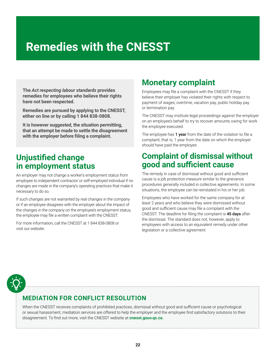# <span id="page-21-0"></span>**Remedies with the CNESST**

**The** *Act respecting labour standards* **provides remedies for employees who believe their rights have not been respected.** 

**Remedies are pursued by applying to the CNESST, either on line or by calling 1 844 838-0808.** 

**It is however suggested, the situation permitting, that an attempt be made to settle the disagreement with the employer before filing a complaint.**

### **Unjustified change in employment status**

An employer may not change a worker's employment status from employee to independent contractor or self-employed individual if no changes are made in the company's operating practices that make it necessary to do so.

If such changes are not warranted by real changes in the company or if an employee disagrees with the employer about the impact of the changes in the company on the employee's employment status, the employee may file a written complaint with the CNESST.

For more information, call the CNESST at 1 844 838-0808 or visit our website.

### **Monetary complaint**

Employees may file a complaint with the CNESST if they believe their employer has violated their rights with respect to payment of wages, overtime, vacation pay, public holiday pay or termination pay.

The CNESST may institute legal proceedings against the employer on an employee's behalf to try to recover amounts owing for work the employee executed.

The employee has 1 year from the date of the violation to file a complaint, that is, 1 year from the date on which the employer should have paid the employee.

### **Complaint of dismissal without good and sufficient cause**

The remedy in case of dismissal without good and sufficient cause is a job protection measure similar to the grievance procedures generally included in collective agreements. In some situations, the employee can be reinstated in his or her job.

Employees who have worked for the same company for at least 2 years and who believe they were dismissed without good and sufficient cause may file a complaint with the CNESST. The deadline for filing the complaint is 45 days after the dismissal. The standard does not, however, apply to employees with access to an equivalent remedy under other legislation or a collective agreement.

### **MEDIATION FOR CONFLICT RESOLUTION**

When the CNESST receives complaints of prohibited practices, dismissal without good and sufficient cause or psychological or sexual harassment, mediation services are offered to help the employer and the employee find satisfactory solutions to their disagreement. To find out more, visit the CNESST website at **[cnesst.gouv.qc.ca](https://www.cnesst.gouv.qc.ca)**.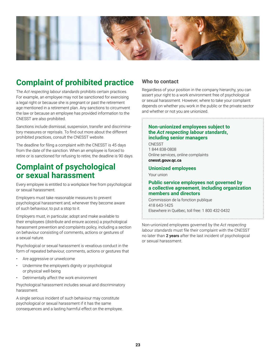<span id="page-22-0"></span>

### **Complaint of prohibited practice**

The *Act respecting labour standards* prohibits certain practices. For example, an employee may not be sanctioned for exercising a legal right or because she is pregnant or past the retirement age mentioned in a retirement plan. Any sanctions to circumvent the law or because an employee has provided information to the CNESST are also prohibited.

Sanctions include dismissal, suspension, transfer and discriminatory measures or reprisals. To find out more about the different prohibited practices, consult the CNESST website.

The deadline for filing a complaint with the CNESST is 45 days from the date of the sanction. When an employee is forced to retire or is sanctioned for refusing to retire, the deadline is 90 days.

### **Complaint of psychological or sexual harassment**

Every employee is entitled to a workplace free from psychological or sexual harassment.

Employers must take reasonable measures to prevent psychological harassment and, whenever they become aware of such behaviour, to put a stop to it.

Employers must, in particular, adopt and make available to their employees (distribute and ensure access) a psychological harassment prevention and complaints policy, including a section on behaviour consisting of comments, actions or gestures of a sexual nature.

Psychological or sexual harassment is vexatious conduct in the form of repeated behaviour, comments, actions or gestures that

- Are aggressive or unwelcome
- Undermine the employee's dignity or psychological or physical well-being
- Detrimentally affect the work environment

Psychological harassment includes sexual and discriminatory harassment.

A single serious incident of such behaviour may constitute psychological or sexual harassment if it has the same consequences and a lasting harmful effect on the employee.

#### **Who to contact**

Regardless of your position in the company hierarchy, you can assert your right to a work environment free of psychological or sexual harassment. However, where to take your complaint depends on whether you work in the public or the private sector and whether or not you are unionized.

#### **Non-unionized employees subject to the** *Act respecting labour standards***, including senior managers**

CNESST 1 844 838-0808 Online services, online complaints **[cnesst.gouv.qc.ca](https://www.cnesst.gouv.qc.ca)**

#### **Unionized employees**

Your union

#### **Public service employees not governed by a collective agreement, including organization members and directors**

Commission de la fonction publique 418 643-1425 Elsewhere in Québec, toll free: 1 800 432-0432

Non-unionized employees governed by the *Act respecting labour standards* must file their complaint with the CNESST no later than 2 years after the last incident of psychological or sexual harassment.